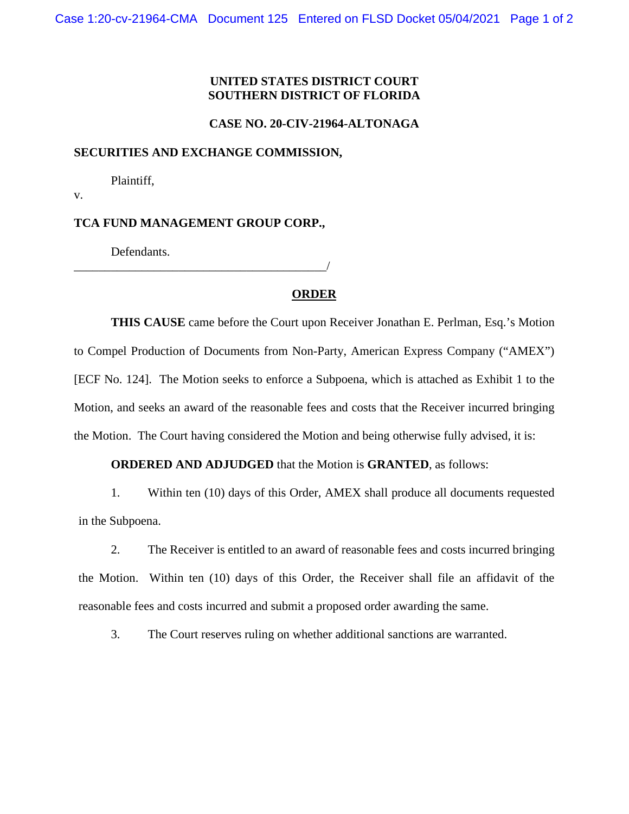## **UNITED STATES DISTRICT COURT SOUTHERN DISTRICT OF FLORIDA**

### **CASE NO. 20-CIV-21964-ALTONAGA**

#### **SECURITIES AND EXCHANGE COMMISSION,**

Plaintiff,

v.

## **TCA FUND MANAGEMENT GROUP CORP.,**

\_\_\_\_\_\_\_\_\_\_\_\_\_\_\_\_\_\_\_\_\_\_\_\_\_\_\_\_\_\_\_\_\_\_\_\_\_\_\_\_\_/

Defendants.

# **ORDER**

**THIS CAUSE** came before the Court upon Receiver Jonathan E. Perlman, Esq.'s Motion to Compel Production of Documents from Non-Party, American Express Company ("AMEX") [ECF No. 124]. The Motion seeks to enforce a Subpoena, which is attached as Exhibit 1 to the Motion, and seeks an award of the reasonable fees and costs that the Receiver incurred bringing the Motion. The Court having considered the Motion and being otherwise fully advised, it is:

# **ORDERED AND ADJUDGED** that the Motion is **GRANTED**, as follows:

1. Within ten (10) days of this Order, AMEX shall produce all documents requested in the Subpoena.

2. The Receiver is entitled to an award of reasonable fees and costs incurred bringing the Motion. Within ten (10) days of this Order, the Receiver shall file an affidavit of the reasonable fees and costs incurred and submit a proposed order awarding the same.

3. The Court reserves ruling on whether additional sanctions are warranted.